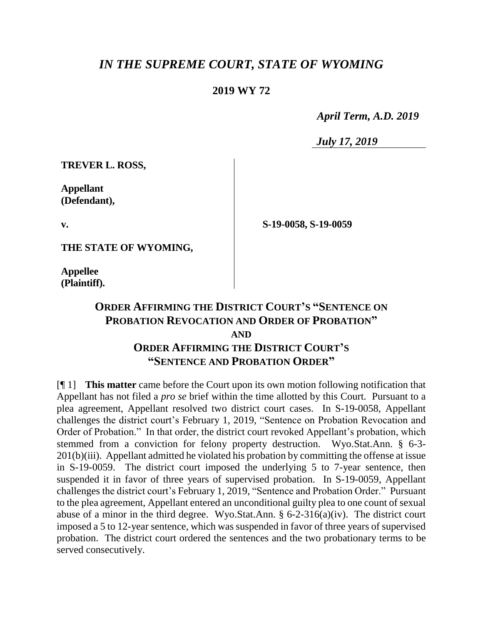## *IN THE SUPREME COURT, STATE OF WYOMING*

## **2019 WY 72**

 *April Term, A.D. 2019*

*July 17, 2019*

**S-19-0058, S-19-0059**

**TREVER L. ROSS,**

**Appellant (Defendant),**

**v.**

**THE STATE OF WYOMING,**

**Appellee (Plaintiff).**

## **ORDER AFFIRMING THE DISTRICT COURT'S "SENTENCE ON PROBATION REVOCATION AND ORDER OF PROBATION" AND ORDER AFFIRMING THE DISTRICT COURT'S "SENTENCE AND PROBATION ORDER"**

[¶ 1] **This matter** came before the Court upon its own motion following notification that Appellant has not filed a *pro se* brief within the time allotted by this Court. Pursuant to a plea agreement, Appellant resolved two district court cases. In S-19-0058, Appellant challenges the district court's February 1, 2019, "Sentence on Probation Revocation and Order of Probation." In that order, the district court revoked Appellant's probation, which stemmed from a conviction for felony property destruction. Wyo.Stat.Ann. § 6-3- 201(b)(iii). Appellant admitted he violated his probation by committing the offense at issue in S-19-0059. The district court imposed the underlying 5 to 7-year sentence, then suspended it in favor of three years of supervised probation. In S-19-0059, Appellant challenges the district court's February 1, 2019, "Sentence and Probation Order." Pursuant to the plea agreement, Appellant entered an unconditional guilty plea to one count of sexual abuse of a minor in the third degree. Wyo.Stat.Ann. § 6-2-316(a)(iv). The district court imposed a 5 to 12-year sentence, which was suspended in favor of three years of supervised probation. The district court ordered the sentences and the two probationary terms to be served consecutively.